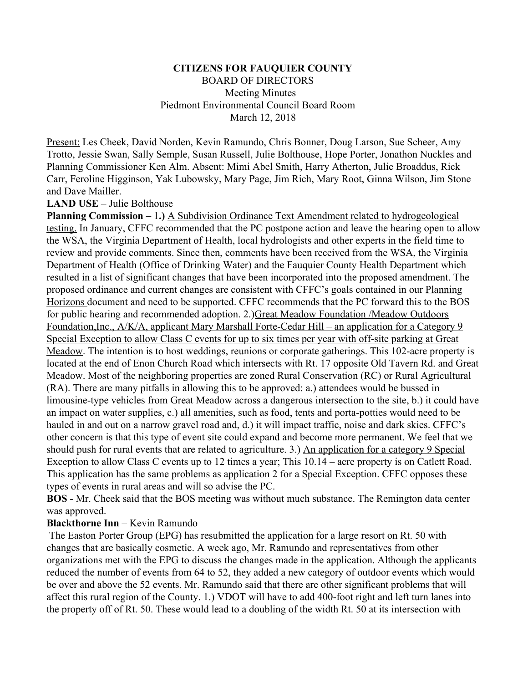### **CITIZENS FOR FAUQUIER COUNTY** BOARD OF DIRECTORS Meeting Minutes Piedmont Environmental Council Board Room March 12, 2018

Present: Les Cheek, David Norden, Kevin Ramundo, Chris Bonner, Doug Larson, Sue Scheer, Amy Trotto, Jessie Swan, Sally Semple, Susan Russell, Julie Bolthouse, Hope Porter, Jonathon Nuckles and Planning Commissioner Ken Alm. Absent: Mimi Abel Smith, Harry Atherton, Julie Broaddus, Rick Carr, Feroline Higginson, Yak Lubowsky, Mary Page, Jim Rich, Mary Root, Ginna Wilson, Jim Stone and Dave Mailler.

#### **LAND USE** – Julie Bolthouse

**Planning Commission –** 1**.)** A Subdivision Ordinance Text Amendment related to hydrogeological testing. In January, CFFC recommended that the PC postpone action and leave the hearing open to allow the WSA, the Virginia Department of Health, local hydrologists and other experts in the field time to review and provide comments. Since then, comments have been received from the WSA, the Virginia Department of Health (Office of Drinking Water) and the Fauquier County Health Department which resulted in a list of significant changes that have been incorporated into the proposed amendment. The proposed ordinance and current changes are consistent with CFFC's goals contained in our Planning Horizons document and need to be supported. CFFC recommends that the PC forward this to the BOS for public hearing and recommended adoption. 2.)Great Meadow Foundation /Meadow Outdoors Foundation,Inc., A/K/A, applicant Mary Marshall Forte-Cedar Hill – an application for a Category 9 Special Exception to allow Class C events for up to six times per year with off-site parking at Great Meadow. The intention is to host weddings, reunions or corporate gatherings. This 102-acre property is located at the end of Enon Church Road which intersects with Rt. 17 opposite Old Tavern Rd. and Great Meadow. Most of the neighboring properties are zoned Rural Conservation (RC) or Rural Agricultural (RA). There are many pitfalls in allowing this to be approved: a.) attendees would be bussed in limousine-type vehicles from Great Meadow across a dangerous intersection to the site, b.) it could have an impact on water supplies, c.) all amenities, such as food, tents and porta-potties would need to be hauled in and out on a narrow gravel road and, d.) it will impact traffic, noise and dark skies. CFFC's other concern is that this type of event site could expand and become more permanent. We feel that we should push for rural events that are related to agriculture. 3.) An application for a category 9 Special Exception to allow Class C events up to 12 times a year; This 10.14 – acre property is on Catlett Road. This application has the same problems as application 2 for a Special Exception. CFFC opposes these types of events in rural areas and will so advise the PC.

**BOS** - Mr. Cheek said that the BOS meeting was without much substance. The Remington data center was approved.

### **Blackthorne Inn** – Kevin Ramundo

 The Easton Porter Group (EPG) has resubmitted the application for a large resort on Rt. 50 with changes that are basically cosmetic. A week ago, Mr. Ramundo and representatives from other organizations met with the EPG to discuss the changes made in the application. Although the applicants reduced the number of events from 64 to 52, they added a new category of outdoor events which would be over and above the 52 events. Mr. Ramundo said that there are other significant problems that will affect this rural region of the County. 1.) VDOT will have to add 400-foot right and left turn lanes into the property off of Rt. 50. These would lead to a doubling of the width Rt. 50 at its intersection with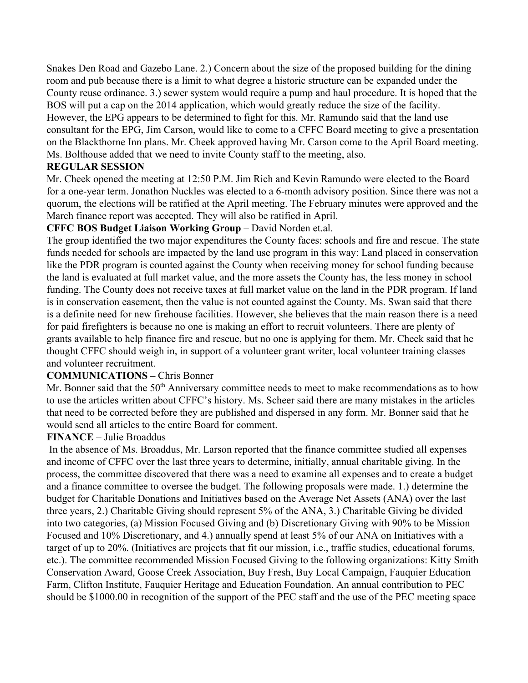Snakes Den Road and Gazebo Lane. 2.) Concern about the size of the proposed building for the dining room and pub because there is a limit to what degree a historic structure can be expanded under the County reuse ordinance. 3.) sewer system would require a pump and haul procedure. It is hoped that the BOS will put a cap on the 2014 application, which would greatly reduce the size of the facility. However, the EPG appears to be determined to fight for this. Mr. Ramundo said that the land use consultant for the EPG, Jim Carson, would like to come to a CFFC Board meeting to give a presentation

on the Blackthorne Inn plans. Mr. Cheek approved having Mr. Carson come to the April Board meeting. Ms. Bolthouse added that we need to invite County staff to the meeting, also.

# **REGULAR SESSION**

Mr. Cheek opened the meeting at 12:50 P.M. Jim Rich and Kevin Ramundo were elected to the Board for a one-year term. Jonathon Nuckles was elected to a 6-month advisory position. Since there was not a quorum, the elections will be ratified at the April meeting. The February minutes were approved and the March finance report was accepted. They will also be ratified in April.

# **CFFC BOS Budget Liaison Working Group** – David Norden et.al.

The group identified the two major expenditures the County faces: schools and fire and rescue. The state funds needed for schools are impacted by the land use program in this way: Land placed in conservation like the PDR program is counted against the County when receiving money for school funding because the land is evaluated at full market value, and the more assets the County has, the less money in school funding. The County does not receive taxes at full market value on the land in the PDR program. If land is in conservation easement, then the value is not counted against the County. Ms. Swan said that there is a definite need for new firehouse facilities. However, she believes that the main reason there is a need for paid firefighters is because no one is making an effort to recruit volunteers. There are plenty of grants available to help finance fire and rescue, but no one is applying for them. Mr. Cheek said that he thought CFFC should weigh in, in support of a volunteer grant writer, local volunteer training classes and volunteer recruitment.

## **COMMUNICATIONS –** Chris Bonner

Mr. Bonner said that the 50<sup>th</sup> Anniversary committee needs to meet to make recommendations as to how to use the articles written about CFFC's history. Ms. Scheer said there are many mistakes in the articles that need to be corrected before they are published and dispersed in any form. Mr. Bonner said that he would send all articles to the entire Board for comment.

## **FINANCE** – Julie Broaddus

 In the absence of Ms. Broaddus, Mr. Larson reported that the finance committee studied all expenses and income of CFFC over the last three years to determine, initially, annual charitable giving. In the process, the committee discovered that there was a need to examine all expenses and to create a budget and a finance committee to oversee the budget. The following proposals were made. 1.) determine the budget for Charitable Donations and Initiatives based on the Average Net Assets (ANA) over the last three years, 2.) Charitable Giving should represent 5% of the ANA, 3.) Charitable Giving be divided into two categories, (a) Mission Focused Giving and (b) Discretionary Giving with 90% to be Mission Focused and 10% Discretionary, and 4.) annually spend at least 5% of our ANA on Initiatives with a target of up to 20%. (Initiatives are projects that fit our mission, i.e., traffic studies, educational forums, etc.). The committee recommended Mission Focused Giving to the following organizations: Kitty Smith Conservation Award, Goose Creek Association, Buy Fresh, Buy Local Campaign, Fauquier Education Farm, Clifton Institute, Fauquier Heritage and Education Foundation. An annual contribution to PEC should be \$1000.00 in recognition of the support of the PEC staff and the use of the PEC meeting space